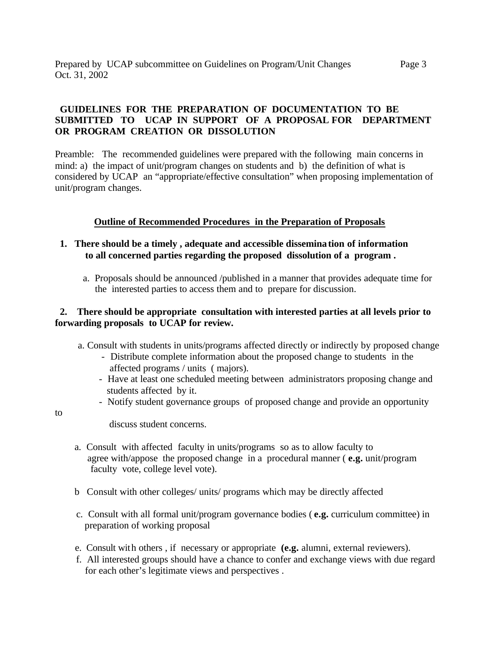# **GUIDELINES FOR THE PREPARATION OF DOCUMENTATION TO BE SUBMITTED TO UCAP IN SUPPORT OF A PROPOSAL FOR DEPARTMENT OR PROGRAM CREATION OR DISSOLUTION**

Preamble: The recommended guidelines were prepared with the following main concerns in mind: a) the impact of unit/program changes on students and b) the definition of what is considered by UCAP an "appropriate/effective consultation" when proposing implementation of unit/program changes.

# **Outline of Recommended Procedures in the Preparation of Proposals**

- **1. There should be a timely , adequate and accessible dissemination of information to all concerned parties regarding the proposed dissolution of a program .**
	- a. Proposals should be announced /published in a manner that provides adequate time for the interested parties to access them and to prepare for discussion.

# **2. There should be appropriate consultation with interested parties at all levels prior to forwarding proposals to UCAP for review.**

a. Consult with students in units/programs affected directly or indirectly by proposed change

- Distribute complete information about the proposed change to students in the affected programs / units ( majors).
- Have at least one scheduled meeting between administrators proposing change and students affected by it.
- Notify student governance groups of proposed change and provide an opportunity

to

discuss student concerns.

- a. Consult with affected faculty in units/programs so as to allow faculty to agree with/appose the proposed change in a procedural manner ( **e.g.** unit/program faculty vote, college level vote).
- b Consult with other colleges/ units/ programs which may be directly affected
- c. Consult with all formal unit/program governance bodies ( **e.g.** curriculum committee) in preparation of working proposal
- e. Consult with others , if necessary or appropriate **(e.g.** alumni, external reviewers).
- f. All interested groups should have a chance to confer and exchange views with due regard for each other's legitimate views and perspectives .